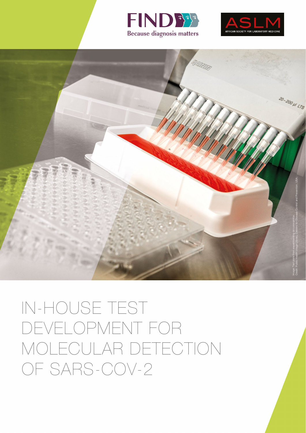





IN-HOUSE TEST DEVELOPMENT FOR MOLECULAR DETECTION OF SARS-COV-2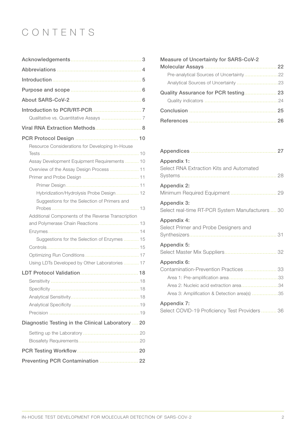# CONTENTS

| Viral RNA Extraction Methods 8                     |
|----------------------------------------------------|
|                                                    |
| Resource Considerations for Developing In-House    |
|                                                    |
| Assay Development Equipment Requirements  10       |
| Overview of the Assay Design Process  11           |
|                                                    |
|                                                    |
| Hybridization/Hydrolysis Probe Design 12           |
| Suggestions for the Selection of Primers and       |
|                                                    |
| Additional Components of the Reverse Transcription |
|                                                    |
| and Polymerase Chain Reactions  13                 |
|                                                    |
| Suggestions for the Selection of Enzymes  15       |
|                                                    |
|                                                    |
| Using LDTs Developed by Other Laboratories  17     |
|                                                    |
|                                                    |
|                                                    |
|                                                    |
|                                                    |
| Precision                                          |
| Diagnostic Testing in the Clinical Laboratory  20  |
|                                                    |
|                                                    |
|                                                    |

| <b>Measure of Uncertainty for SARS-CoV-2</b> |  |
|----------------------------------------------|--|
|                                              |  |
| Pre-analytical Sources of Uncertainty22      |  |
|                                              |  |
| Quality Assurance for PCR testing 23         |  |
|                                              |  |
|                                              |  |
|                                              |  |

| Appendix 1:<br>Select RNA Extraction Kits and Automated                                                                                         |
|-------------------------------------------------------------------------------------------------------------------------------------------------|
| Appendix 2:                                                                                                                                     |
| Appendix 3:<br>Select real-time RT-PCR System Manufacturers  30                                                                                 |
| Appendix 4:<br>Select Primer and Probe Designers and                                                                                            |
| Appendix 5:                                                                                                                                     |
| Appendix 6:<br>Contamination-Prevention Practices  33<br>Area 2: Nucleic acid extraction area34<br>Area 3: Amplification & Detection area(s) 35 |
| Appendix 7:<br>Select COVID-19 Proficiency Test Providers 36                                                                                    |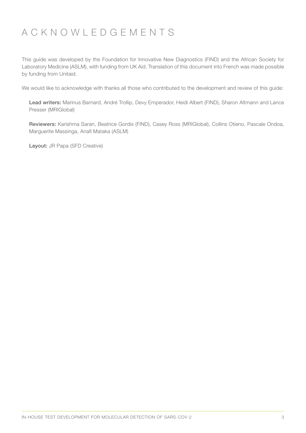## ACKNOWLEDGEMENTS

This guide was developed by the Foundation for Innovative New Diagnostics (FIND) and the African Society for Laboratory Medicine (ASLM), with funding from UK Aid. Translation of this document into French was made possible by funding from Unitaid.

We would like to acknowledge with thanks all those who contributed to the development and review of this guide:

Lead writers: Marinus Barnard, André Trollip, Devy Emperador, Heidi Albert (FIND), Sharon Altmann and Lance Presser (MRIGlobal)

Reviewers: Karishma Saran, Beatrice Gordis (FIND), Casey Ross (MRIGlobal), Collins Otieno, Pascale Ondoa, Marguerite Massinga, Anafi Mataka (ASLM)

Layout: JR Papa (SFD Creative)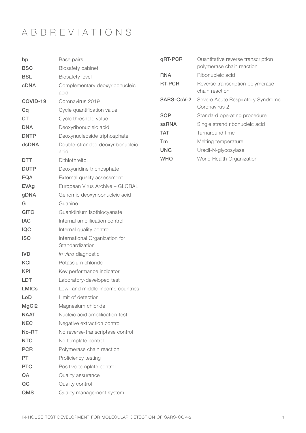# ABBREVIATIONS

| bp                | Base pairs                                        | qRT-PCR       | Quantitative reverse transcription                 |
|-------------------|---------------------------------------------------|---------------|----------------------------------------------------|
| <b>BSC</b>        | <b>Biosafety cabinet</b>                          |               | polymerase chain reaction                          |
| <b>BSL</b>        | <b>Biosafety level</b>                            | <b>RNA</b>    | Ribonucleic acid                                   |
| <b>cDNA</b>       | Complementary deoxyribonucleic<br>acid            | <b>RT-PCR</b> | Reverse transcription polymerase<br>chain reaction |
| COVID-19          | Coronavirus 2019                                  | SARS-CoV-2    | Severe Acute Respiratory Syndrome<br>Coronavirus 2 |
| Cq                | Cycle quantification value                        | <b>SOP</b>    | Standard operating procedure                       |
| <b>CT</b>         | Cycle threshold value                             | <b>ssRNA</b>  | Single strand ribonucleic acid                     |
| <b>DNA</b>        | Deoxyribonucleic acid                             | <b>TAT</b>    | Turnaround time                                    |
| <b>DNTP</b>       | Deoxynucleoside triphosphate                      | Tm            | Melting temperature                                |
| dsDNA             | Double-stranded deoxyribonucleic<br>acid          | <b>UNG</b>    | Uracil-N-glycosylase                               |
| <b>DTT</b>        | Dithiothreitol                                    | <b>WHO</b>    | World Health Organization                          |
| <b>DUTP</b>       | Deoxyuridine triphosphate                         |               |                                                    |
| <b>EQA</b>        | External quality assessment                       |               |                                                    |
| <b>EVAg</b>       | European Virus Archive - GLOBAL                   |               |                                                    |
| gDNA              | Genomic deoxyribonucleic acid                     |               |                                                    |
| G                 | Guanine                                           |               |                                                    |
| <b>GITC</b>       | Guanidinium isothiocyanate                        |               |                                                    |
| <b>IAC</b>        | Internal amplification control                    |               |                                                    |
| <b>IQC</b>        | Internal quality control                          |               |                                                    |
| <b>ISO</b>        | International Organization for<br>Standardization |               |                                                    |
| <b>IVD</b>        | In vitro diagnostic                               |               |                                                    |
| <b>KCI</b>        | Potassium chloride                                |               |                                                    |
| <b>KPI</b>        | Key performance indicator                         |               |                                                    |
| LDT               | Laboratory-developed test                         |               |                                                    |
| <b>LMICs</b>      | Low- and middle-income countries                  |               |                                                    |
| LoD               | Limit of detection                                |               |                                                    |
| MgCl <sub>2</sub> | Magnesium chloride                                |               |                                                    |
| <b>NAAT</b>       | Nucleic acid amplification test                   |               |                                                    |
| <b>NEC</b>        | Negative extraction control                       |               |                                                    |
| No-RT             | No reverse-transcriptase control                  |               |                                                    |
| <b>NTC</b>        | No template control                               |               |                                                    |
| <b>PCR</b>        | Polymerase chain reaction                         |               |                                                    |
| PT                | Proficiency testing                               |               |                                                    |
| <b>PTC</b>        | Positive template control                         |               |                                                    |
| QA                | Quality assurance                                 |               |                                                    |
| QC                | Quality control                                   |               |                                                    |
| QMS               | Quality management system                         |               |                                                    |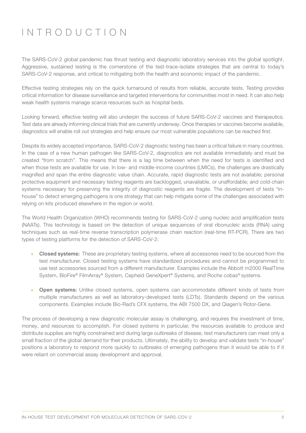# INTRODUCTION

The SARS-CoV-2 global pandemic has thrust testing and diagnostic laboratory services into the global spotlight. Aggressive, sustained testing is the cornerstone of the test-trace-isolate strategies that are central to today's SARS-CoV-2 response, and critical to mitigating both the health and economic impact of the pandemic.

Effective testing strategies rely on the quick turnaround of results from reliable, accurate tests. Testing provides critical information for disease surveillance and targeted interventions for communities most in need. It can also help weak health systems manage scarce resources such as hospital beds.

Looking forward, effective testing will also underpin the success of future SARS-CoV-2 vaccines and therapeutics. Test data are already informing clinical trials that are currently underway. Once therapies or vaccines become available, diagnostics will enable roll out strategies and help ensure our most vulnerable populations can be reached first.

Despite its widely accepted importance, SARS-CoV-2 diagnostic testing has been a critical failure in many countries. In the case of a new human pathogen like SARS-CoV-2, diagnostics are not available immediately and must be created "from scratch". This means that there is a lag time between when the need for tests is identified and when those tests are available for use. In low- and middle-income countries (LMICs), the challenges are drastically magnified and span the entire diagnostic value chain. Accurate, rapid diagnostic tests are not available; personal protective equipment and necessary testing reagents are backlogged, unavailable, or unaffordable; and cold-chain systems necessary for preserving the integrity of diagnostic reagents are fragile. The development of tests "inhouse" to detect emerging pathogens is one strategy that can help mitigate some of the challenges associated with relying on kits produced elsewhere in the region or world.

The World Health Organization (WHO) recommends testing for SARS-CoV-2 using nucleic acid amplification tests (NAATs). This technology is based on the detection of unique sequences of viral ribonucleic acids (RNA) using techniques such as real-time reverse transcription polymerase chain reaction (real-time RT-PCR). There are two types of testing platforms for the detection of SARS-CoV-2:

- + Closed systems: These are proprietary testing systems, where all accessories need to be sourced from the test manufacturer. Closed testing systems have standardized procedures and cannot be programmed to use test accessories sourced from a different manufacturer. Examples include the Abbott m2000 RealTime System, BioFire® FilmArray® System, Cepheid GeneXpert® Systems, and Roche cobas® systems.
- + Open systems: Unlike closed systems, open systems can accommodate different kinds of tests from multiple manufacturers as well as laboratory-developed tests (LDTs). Standards depend on the various components. Examples include Bio-Rad's CFX systems, the ABI 7500 DX, and Qiagen's Rotor-Gene.

The process of developing a new diagnostic molecular assay is challenging, and requires the investment of time, money, and resources to accomplish. For closed systems in particular, the resources available to produce and distribute supplies are highly constrained and during large outbreaks of disease, test manufacturers can meet only a small fraction of the global demand for their products. Ultimately, the ability to develop and validate tests "in-house" positions a laboratory to respond more quickly to outbreaks of emerging pathogens than it would be able to if it were reliant on commercial assay development and approval.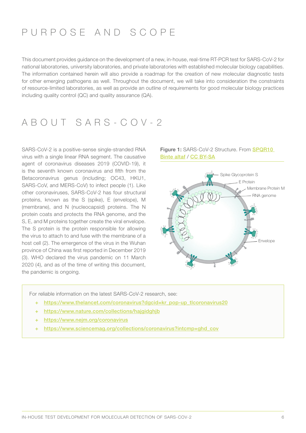## PURPOSE AND SCOPE

This document provides guidance on the development of a new, in-house, real-time RT-PCR test for SARS-CoV-2 for national laboratories, university laboratories, and private laboratories with established molecular biology capabilities. The information contained herein will also provide a roadmap for the creation of new molecular diagnostic tests for other emerging pathogens as well. Throughout the document, we will take into consideration the constraints of resource-limited laboratories, as well as provide an outline of requirements for good molecular biology practices including quality control (QC) and quality assurance (QA).

## ABOUT SARS-COV-2

SARS-CoV-2 is a positive-sense single-stranded RNA virus with a single linear RNA segment. The causative agent of coronavirus diseases 2019 (COVID-19), it is the seventh known coronavirus and fifth from the Betacoronavirus genus (including; OC43, HKU1, SARS-CoV, and MERS-CoV) to infect people (1). Like other coronaviruses, SARS-CoV-2 has four structural proteins, known as the S (spike), E (envelope), M (membrane), and N (nucleocapsid) proteins. The N protein coats and protects the RNA genome, and the S, E, and M proteins together create the viral envelope. The S protein is the protein responsible for allowing the virus to attach to and fuse with the membrane of a host cell (2). The emergence of the virus in the Wuhan province of China was first reported in December 2019 (3). WHO declared the virus pandemic on 11 March 2020 (4), and as of the time of writing this document, the pandemic is ongoing.





For reliable information on the latest SARS-CoV-2 research, see:

- + [https://www.thelancet.com/coronavirus?dgcid=kr\\_pop-up\\_tlcoronavirus20](https://www.thelancet.com/coronavirus?dgcid=kr_pop-up_tlcoronavirus20)
- + <https://www.nature.com/collections/hajgidghjb>
- + <https://www.nejm.org/coronavirus>
- + [https://www.sciencemag.org/collections/coronavirus?intcmp=ghd\\_cov](https://www.sciencemag.org/collections/coronavirus?intcmp=ghd_cov)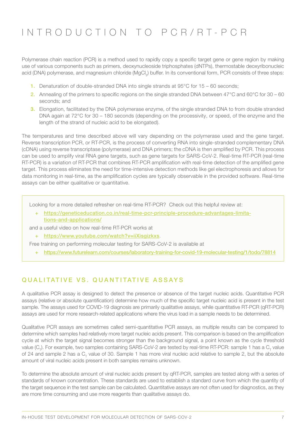## INTRODUCTION TO PCR/RT-PCR

Polymerase chain reaction (PCR) is a method used to rapidly copy a specific target gene or gene region by making use of various components such as primers, deoxynucleoside triphosphates (dNTPs), thermostable deoxyribonucleic acid (DNA) polymerase, and magnesium chloride (MgCl<sub>2</sub>) buffer. In its conventional form, PCR consists of three steps:

- 1. Denaturation of double-stranded DNA into single strands at 95°C for 15 60 seconds;
- 2. Annealing of the primers to specific regions on the single stranded DNA between 47°C and 60°C for 30 60 seconds; and
- 3. Elongation, facilitated by the DNA polymerase enzyme, of the single stranded DNA to from double stranded DNA again at 72°C for 30 – 180 seconds (depending on the processivity, or speed, of the enzyme and the length of the strand of nucleic acid to be elongated).

The temperatures and time described above will vary depending on the polymerase used and the gene target. Reverse transcription PCR, or RT-PCR, is the process of converting RNA into single-stranded complementary DNA (cDNA) using reverse transcriptase (polymerase) and DNA primers; the cDNA is then amplified by PCR. This process can be used to amplify viral RNA gene targets, such as gene targets for SARS-CoV-2. Real-time RT-PCR (real-time RT-PCR) is a variation of RT-PCR that combines RT-PCR amplification with real-time detection of the amplified gene target. This process eliminates the need for time-intensive detection methods like gel electrophoresis and allows for data monitoring in real-time, as the amplification cycles are typically observable in the provided software. Real-time assays can be either qualitative or quantitative.

Looking for a more detailed refresher on real-time RT-PCR? Check out this helpful review at:

+ [https://geneticeducation.co.in/real-time-pcr-principle-procedure-advantages-limita](https://geneticeducation.co.in/real-time-pcr-principle-procedure-advantages-limitations-and-applicat)[tions-and-applications/](https://geneticeducation.co.in/real-time-pcr-principle-procedure-advantages-limitations-and-applicat)

and a useful video on how real-time RT-PCR works at

+ <https://www.youtube.com/watch?v=iiXisgizkxs>.

Free training on performing molecular testing for SARS-CoV-2 is available at

+ <https://www.futurelearn.com/courses/laboratory-training-for-covid-19-molecular-testing/1/todo/78814>

### QUALITATIVE VS. QUANTITATIVE ASSAYS

A qualitative PCR assay is designed to detect the presence or absence of the target nucleic acids. Quantitative PCR assays (relative or absolute quantification) determine how much of the specific target nucleic acid is present in the test sample. The assays used for COVID-19 diagnosis are primarily qualitative assays, while quantitative RT-PCR (qRT-PCR) assays are used for more research-related applications where the virus load in a sample needs to be determined.

Qualitative PCR assays are sometimes called semi-quantitative PCR assays, as multiple results can be compared to determine which samples had relatively more target nucleic acids present. This comparison is based on the amplification cycle at which the target signal becomes stronger than the background signal, a point known as the cycle threshold value (C<sub>T</sub>). For example, two samples containing SARS-CoV-2 are tested by real-time RT-PCR: sample 1 has a C<sub>T</sub> value of 24 and sample 2 has a C<sub>T</sub> value of 30. Sample 1 has more viral nucleic acid relative to sample 2, but the absolute amount of viral nucleic acids present in both samples remains unknown.

To determine the absolute amount of viral nucleic acids present by qRT-PCR, samples are tested along with a series of standards of known concentration. These standards are used to establish a standard curve from which the quantity of the target sequence in the test sample can be calculated. Quantitative assays are not often used for diagnostics, as they are more time consuming and use more reagents than qualitative assays do.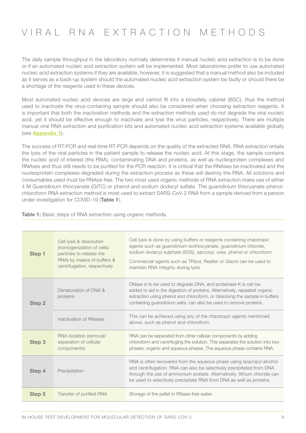# VIRAL RNA EXTRACTION METHODS

The daily sample throughput in the laboratory normally determines if manual nucleic acid extraction is to be done or if an automated nucleic acid extraction system will be implemented. Most laboratories prefer to use automated nucleic acid extraction systems if they are available; however, it is suggested that a manual method also be included as it serves as a back-up system should the automated nucleic acid extraction system be faulty or should there be a shortage of the reagents used in these devices.

Most automated nucleic acid devices are large and cannot fit into a biosafety cabinet (BSC), thus the method used to inactivate the virus-containing sample should also be considered when choosing extraction reagents. It is important that both the inactivation methods and the extraction methods used do not degrade the viral nucleic acid, yet it should be effective enough to inactivate and lyse the virus particles, respectively. There are multiple manual viral RNA extraction and purification kits and automated nucleic acid extraction systems available globally (see [Appendix 1](#page-27-0)).

The success of RT-PCR and real-time RT-PCR depends on the quality of the extracted RNA. RNA extraction entails the lysis of the viral particles in the patient sample to release the nucleic acid. At this stage, the sample contains the nucleic acid of interest (the RNA), contaminating DNA and proteins, as well as nucleoprotein complexes and RNAses and thus still needs to be purified for the PCR reaction. It is critical that the RNAses be inactivated and the nucleoprotein complexes degraded during the extraction process as these will destroy the RNA. All solutions and consumables used must be RNAse free. The two most used organic methods of RNA extraction make use of either 4 M Guanidinium thiocyanate (GITC) or phenol and sodium dodecyl sulfate. The guanidinium thiocyanate-phenolchloroform RNA extraction method is most used to extract SARS-CoV-2 RNA from a sample derived from a person under investigation for COVID-19 (Table 1).

| Step 1 | Cell Iysis & dissolution<br>(homogenization of cells/<br>particles to release the<br>RNA) by means of buffers &<br>centrifugation, respectively | Cell lysis is done by using buffers or reagents containing chaotropic<br>agents such as guanidinium isothiocyanate, guanidinium chloride,<br>sodium dodecyl sulphate (SDS), sarcosyl, urea, phenol or chloroform.<br>Commercial agents such as TRIzol, Realter or Qiazol can be used to<br>maintain RNA integrity during lysis. |
|--------|-------------------------------------------------------------------------------------------------------------------------------------------------|---------------------------------------------------------------------------------------------------------------------------------------------------------------------------------------------------------------------------------------------------------------------------------------------------------------------------------|
| Step 2 | Denaturation of DNA &<br>proteins                                                                                                               | DNase is to be used to degrade DNA, and proteinase K is can be<br>added to aid in the digestion of proteins. Alternatively, repeated organic<br>extraction using phenol and chloroform, or dissolving the sample in buffers<br>containing guanidinium salts, can also be used to remove proteins.                               |
|        | Inactivation of RNases                                                                                                                          | This can be achieved using any of the chaotropic agents mentioned<br>above, such as phenol and chloroform.                                                                                                                                                                                                                      |
| Step 3 | RNA isolation (removal/<br>separation of cellular<br>components)                                                                                | RNA can be separated from other cellular components by adding<br>chloroform and centrifuging the solution. This separates the solution into two<br>phases: organic and aqueous phases. The aqueous phase contains RNA.                                                                                                          |
| Step 4 | Precipitation                                                                                                                                   | RNA is often recovered from the aqueous phase using isopropyl alcohol<br>and centrifugation. RNA can also be selectively precipitated from DNA<br>through the use of ammonium acetate. Alternatively, lithium chloride can<br>be used to selectively precipitate RNA from DNA as well as proteins.                              |
| Step 5 | Transfer of purified RNA                                                                                                                        | Storage of the pellet in RNase-free water.                                                                                                                                                                                                                                                                                      |

Table 1: Basic steps of RNA extraction using organic methods.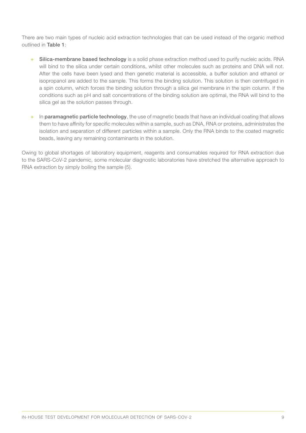There are two main types of nucleic acid extraction technologies that can be used instead of the organic method outlined in Table 1:

- + Silica-membrane based technology is a solid phase extraction method used to purify nucleic acids. RNA will bind to the silica under certain conditions, whilst other molecules such as proteins and DNA will not. After the cells have been lysed and then genetic material is accessible, a buffer solution and ethanol or isopropanol are added to the sample. This forms the binding solution. This solution is then centrifuged in a spin column, which forces the binding solution through a silica gel membrane in the spin column. If the conditions such as pH and salt concentrations of the binding solution are optimal, the RNA will bind to the silica gel as the solution passes through.
- + In paramagnetic particle technology, the use of magnetic beads that have an individual coating that allows them to have affinity for specific molecules within a sample, such as DNA, RNA or proteins, administrates the isolation and separation of different particles within a sample. Only the RNA binds to the coated magnetic beads, leaving any remaining contaminants in the solution.

Owing to global shortages of laboratory equipment, reagents and consumables required for RNA extraction due to the SARS-CoV-2 pandemic, some molecular diagnostic laboratories have stretched the alternative approach to RNA extraction by simply boiling the sample (5).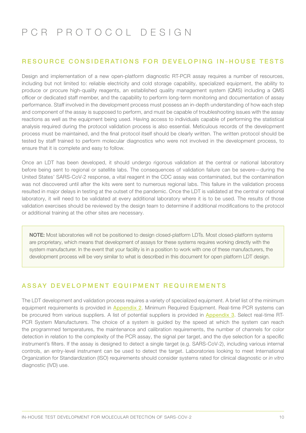# PCR PROTOCOL DESIGN

### RESOURCE CONSIDERATIONS FOR DEVELOPING IN-HOUSE TESTS

Design and implementation of a new open-platform diagnostic RT-PCR assay requires a number of resources, including but not limited to: reliable electricity and cold storage capability, specialized equipment, the ability to produce or procure high-quality reagents, an established quality management system (QMS) including a QMS officer or dedicated staff member, and the capability to perform long-term monitoring and documentation of assay performance. Staff involved in the development process must possess an in-depth understanding of how each step and component of the assay is supposed to perform, and must be capable of troubleshooting issues with the assay reactions as well as the equipment being used. Having access to individuals capable of performing the statistical analysis required during the protocol validation process is also essential. Meticulous records of the development process must be maintained, and the final protocol itself should be clearly written. The written protocol should be tested by staff trained to perform molecular diagnostics who were not involved in the development process, to ensure that it is complete and easy to follow.

Once an LDT has been developed, it should undergo rigorous validation at the central or national laboratory before being sent to regional or satellite labs. The consequences of validation failure can be severe—during the United States' SARS-CoV-2 response, a vital reagent in the CDC assay was contaminated, but the contamination was not discovered until after the kits were sent to numerous regional labs. This failure in the validation process resulted in major delays in testing at the outset of the pandemic. Once the LDT is validated at the central or national laboratory, it will need to be validated at every additional laboratory where it is to be used. The results of those validation exercises should be reviewed by the design team to determine if additional modifications to the protocol or additional training at the other sites are necessary.

NOTE: Most laboratories will not be positioned to design closed-platform LDTs. Most closed-platform systems are proprietary, which means that development of assays for these systems requires working directly with the system manufacturer. In the event that your facility is in a position to work with one of these manufacturers, the development process will be very similar to what is described in this document for open platform LDT design.

## ASSAY DEVELOPMENT EQUIPMENT REQUIREMENTS

The LDT development and validation process requires a variety of specialized equipment. A brief list of the minimum equipment requirements is provided in [Appendix 2](#page-28-0). Minimum Required Equipment. Real-time PCR systems can be procured from various suppliers. A list of potential suppliers is provided in [Appendix 3](#page-29-0). Select real-time RT-PCR System Manufacturers. The choice of a system is guided by the speed at which the system can reach the programmed temperatures, the maintenance and calibration requirements, the number of channels for color detection in relation to the complexity of the PCR assay, the signal per target, and the dye selection for a specific instrument's filters. If the assay is designed to detect a single target (e.g. SARS-CoV-2), including various internal controls, an entry-level instrument can be used to detect the target. Laboratories looking to meet International Organization for Standardization (ISO) requirements should consider systems rated for clinical diagnostic or *in vitro*  diagnostic (IVD) use.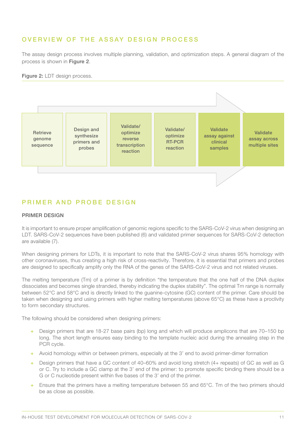## OVERVIEW OF THE ASSAY DESIGN PROCESS

The assay design process involves multiple planning, validation, and optimization steps. A general diagram of the process is shown in Figure 2.

#### Figure 2: LDT design process.



### PRIMER AND PROBE DESIGN

#### PRIMER DESIGN

It is important to ensure proper amplification of genomic regions specific to the SARS-CoV-2 virus when designing an LDT. SARS-CoV-2 sequences have been published (6) and validated primer sequences for SARS-CoV-2 detection are available (7).

When designing primers for LDTs, it is important to note that the SARS-CoV-2 virus shares 95% homology with other coronaviruses, thus creating a high risk of cross-reactivity. Therefore, it is essential that primers and probes are designed to specifically amplify only the RNA of the genes of the SARS-CoV-2 virus and not related viruses.

The melting temperature (Tm) of a primer is by definition "the temperature that the one half of the DNA duplex dissociates and becomes single stranded, thereby indicating the duplex stability". The optimal Tm range is normally between 52°C and 58°C and is directly linked to the guanine-cytosine (GC) content of the primer. Care should be taken when designing and using primers with higher melting temperatures (above 65°C) as these have a proclivity to form secondary structures.

The following should be considered when designing primers:

- + Design primers that are 18-27 base pairs (bp) long and which will produce amplicons that are 70–150 bp long. The short length ensures easy binding to the template nucleic acid during the annealing step in the PCR cycle.
- + Avoid homology within or between primers, especially at the 3' end to avoid primer-dimer formation
- + Design primers that have a GC content of 40–60% and avoid long stretch (4+ repeats) of GC as well as G or C. Try to include a GC clamp at the 3' end of the primer: to promote specific binding there should be a G or C nucleotide present within five bases of the 3' end of the primer.
- + Ensure that the primers have a melting temperature between 55 and 65°C. Tm of the two primers should be as close as possible.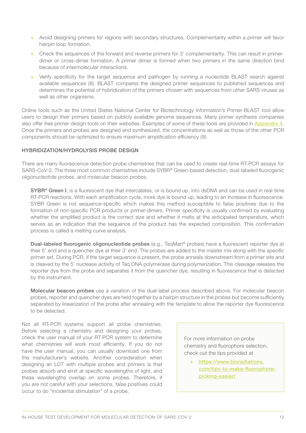- + Avoid designing primers for regions with secondary structures. Complementarity within a primer will favor hairpin loop formation.
- + Check the sequences of the forward and reverse primers for 3' complementarity. This can result in primerdimer or cross-dimer formation. A primer dimer is formed when two primers in the same direction bind because of intermolecular interactions.
- + Verify specificity for the target sequence and pathogen by running a nucleotide BLAST search against available sequences (8). BLAST compares the designed primer sequences to published sequences and determines the potential of hybridization of the primers chosen with sequences from other SARS viruses as well as other organisms.

Online tools such as the United States National Center for Biotechnology Information's Primer-BLAST tool allow users to design their primers based on publicly available genome sequences. Many primer synthesis companies also offer free primer design tools on their websites. Examples of some of these tools are provided in [Appendix 4](#page-30-0). Once the primers and probes are designed and synthesized, the concentrations as well as those of the other PCR components should be optimized to ensure maximum amplification efficiency (9).

#### HYBRIDIZATION/HYDROLYSIS PROBE DESIGN

There are many fluorescence detection probe chemistries that can be used to create real-time RT-PCR assays for SARS-CoV-2. The three most common chemistries include SYBR® Green-based detection, dual-labeled fluorogenic oligonucleotide probes, and molecular beacon probes.

SYBR® Green I, is a fluorescent dye that intercalates, or is bound up, into dsDNA and can be used in real-time RT-PCR reactions. With each amplification cycle, more dye is bound up, leading to an increase in fluorescence. SYBR Green is not sequence-specific which makes this method susceptible to false positives due to the formation of non-specific PCR products or primer-dimers. Primer specificity is usually confirmed by evaluating whether the amplified product is the correct size and whether it melts at the anticipated temperature, which serves as an indication that the sequence of the product has the expected composition. This confirmation process is called a melting curve analysis.

Dual-labeled fluorogenic oligonucleotide probes (e.g., TaqMan<sup>®</sup> probes) have a fluorescent reporter dye at their 5' end and a quencher dye at their 3' end. The probes are added to the master mix along with the specific primer set. During PCR, if the target sequence is present, the probe anneals downstream from a primer site and is cleaved by the 5' nuclease activity of Taq DNA polymerase during polymerization. This cleavage releases the reporter dye from the probe and separates it from the quencher dye, resulting in fluorescence that is detected by the instrument.

Molecular beacon probes use a variation of the dual-label process described above. For molecular beacon probes, reporter and quencher dyes are held together by a hairpin structure in the probes but become sufficiently separated by linearization of the probe after annealing with the template to allow the reporter dye fluorescence to be detected.

Not all RT-PCR systems support all probe chemistries. Before selecting a chemistry and designing your probes, check the user manual of your RT-PCR system to determine what chemistries will work most efficiently. If you do not have the user manual, you can usually download one from the manufacturer's website. Another consideration when designing an LDT with multiple probes and primers is that probes absorb and emit at specific wavelengths of light, and these wavelengths overlap on some probes. Therefore, if you are not careful with your selections, false positives could occur to do "incidental stimulation" of a probe.

For more information on probe chemistry and fluorophore selection, check out the tips provided at

+ [https://www.bioradiations.](https://www.bioradiations.com/tips-to-make-fluorophore-picking-easier/) [com/tips-to-make-fluorophore](https://www.bioradiations.com/tips-to-make-fluorophore-picking-easier/)[picking-easier/](https://www.bioradiations.com/tips-to-make-fluorophore-picking-easier/)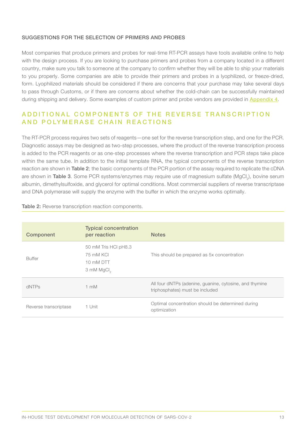#### SUGGESTIONS FOR THE SELECTION OF PRIMERS AND PROBES

Most companies that produce primers and probes for real-time RT-PCR assays have tools available online to help with the design process. If you are looking to purchase primers and probes from a company located in a different country, make sure you talk to someone at the company to confirm whether they will be able to ship your materials to you properly. Some companies are able to provide their primers and probes in a lyophilized, or freeze-dried, form. Lyophilized materials should be considered if there are concerns that your purchase may take several days to pass through Customs, or if there are concerns about whether the cold-chain can be successfully maintained during shipping and delivery. Some examples of custom primer and probe vendors are provided in [Appendix 4](#page-30-0).

## A D D I T I O N A L COMPONENTS OF THE REVERSE TRANSCRIPTION AND POLYMERASE CHAIN REACTIONS

The RT-PCR process requires two sets of reagents—one set for the reverse transcription step, and one for the PCR. Diagnostic assays may be designed as two-step processes, where the product of the reverse transcription process is added to the PCR reagents or as one-step processes where the reverse transcription and PCR steps take place within the same tube. In addition to the initial template RNA, the typical components of the reverse transcription reaction are shown in **Table 2**; the basic components of the PCR portion of the assay required to replicate the cDNA are shown in Table 3. Some PCR systems/enzymes may require use of magnesium sulfate (MgCl<sub>a</sub>), bovine serum albumin, dimethylsulfoxide, and glycerol for optimal conditions. Most commercial suppliers of reverse transcriptase and DNA polymerase will supply the enzyme with the buffer in which the enzyme works optimally.

| Component             | <b>Typical concentration</b><br>per reaction                             | <b>Notes</b>                                                                               |
|-----------------------|--------------------------------------------------------------------------|--------------------------------------------------------------------------------------------|
| <b>Buffer</b>         | 50 mM Tris HCI pH8.3<br>75 mM KCI<br>10 mM DTT<br>3 mM MgCl <sub>2</sub> | This should be prepared as 5x concentration                                                |
| dNTPs                 | $1 \text{ mM}$                                                           | All four dNTPs (adenine, guanine, cytosine, and thymine<br>triphosphates) must be included |
| Reverse transcriptase | 1 Unit                                                                   | Optimal concentration should be determined during<br>optimization                          |

#### Table 2: Reverse transcription reaction components.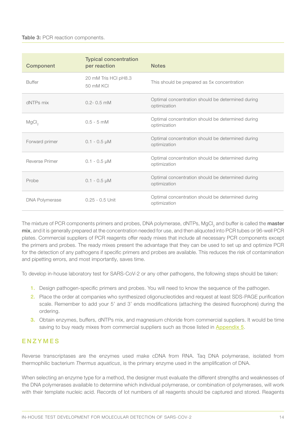| Component             | <b>Typical concentration</b><br>per reaction | <b>Notes</b>                                                      |
|-----------------------|----------------------------------------------|-------------------------------------------------------------------|
| <b>Buffer</b>         | 20 mM Tris HCI pH8.3<br>50 mM KCI            | This should be prepared as 5x concentration                       |
| dNTPs mix             | $0.2 - 0.5$ mM                               | Optimal concentration should be determined during<br>optimization |
| MgCl <sub>2</sub>     | $0.5 - 5$ mM                                 | Optimal concentration should be determined during<br>optimization |
| Forward primer        | $0.1 - 0.5 \mu M$                            | Optimal concentration should be determined during<br>optimization |
| Reverse Primer        | $0.1 - 0.5 \mu M$                            | Optimal concentration should be determined during<br>optimization |
| Probe                 | $0.1 - 0.5 \mu M$                            | Optimal concentration should be determined during<br>optimization |
| <b>DNA Polymerase</b> | $0.25 - 0.5$ Unit                            | Optimal concentration should be determined during<br>optimization |

The mixture of PCR components primers and probes, DNA polymerase, dNTPs, MgCl<sub>2</sub> and buffer is called the **master** mix, and it is generally prepared at the concentration needed for use, and then aliquoted into PCR tubes or 96-well PCR plates. Commercial suppliers of PCR reagents offer ready mixes that include all necessary PCR components except the primers and probes. The ready mixes present the advantage that they can be used to set up and optimize PCR for the detection of any pathogens if specific primers and probes are available. This reduces the risk of contamination and pipetting errors, and most importantly, saves time.

To develop in-house laboratory test for SARS-CoV-2 or any other pathogens, the following steps should be taken:

- 1. Design pathogen-specific primers and probes. You will need to know the sequence of the pathogen.
- 2. Place the order at companies who synthesized oligonucleotides and request at least SDS-PAGE purification scale. Remember to add your 5' and 3' ends modifications (attaching the desired fluorophore) during the ordering.
- 3. Obtain enzymes, buffers, dNTPs mix, and magnesium chloride from commercial suppliers. It would be time saving to buy ready mixes from commercial suppliers such as those listed in **[Appendix 5](#page-31-0)**.

### ENZYMES

Reverse transcriptases are the enzymes used make cDNA from RNA. Taq DNA polymerase, isolated from thermophilic bacterium *Thermus aquaticus*, is the primary enzyme used in the amplification of DNA.

When selecting an enzyme type for a method, the designer must evaluate the different strengths and weaknesses of the DNA polymerases available to determine which individual polymerase, or combination of polymerases, will work with their template nucleic acid. Records of lot numbers of all reagents should be captured and stored. Reagents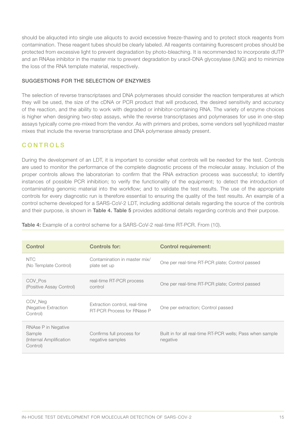should be aliquoted into single use aliquots to avoid excessive freeze-thawing and to protect stock reagents from contamination. These reagent tubes should be clearly labeled. All reagents containing fluorescent probes should be protected from excessive light to prevent degradation by photo-bleaching. It is recommended to incorporate dUTP and an RNAse inhibitor in the master mix to prevent degradation by uracil-DNA glycosylase (UNG) and to minimize the loss of the RNA template material, respectively.

#### SUGGESTIONS FOR THE SELECTION OF ENZYMES

The selection of reverse transcriptases and DNA polymerases should consider the reaction temperatures at which they will be used, the size of the cDNA or PCR product that will produced, the desired sensitivity and accuracy of the reaction, and the ability to work with degraded or inhibitor-containing RNA. The variety of enzyme choices is higher when designing two-step assays, while the reverse transcriptases and polymerases for use in one-step assays typically come pre-mixed from the vendor. As with primers and probes, some vendors sell lyophilized master mixes that include the reverse transcriptase and DNA polymerase already present.

### CONTROLS

During the development of an LDT, it is important to consider what controls will be needed for the test. Controls are used to monitor the performance of the complete diagnostic process of the molecular assay. Inclusion of the proper controls allows the laboratorian to confirm that the RNA extraction process was successful; to identify instances of possible PCR inhibition; to verify the functionality of the equipment; to detect the introduction of contaminating genomic material into the workflow; and to validate the test results. The use of the appropriate controls for every diagnostic run is therefore essential to ensuring the quality of the test results. An example of a control scheme developed for a SARS-CoV-2 LDT, including additional details regarding the source of the controls and their purpose, is shown in Table 4. Table 5 provides additional details regarding controls and their purpose.

| Control                                                              | Controls for:                                                      | <b>Control requirement:</b>                                           |
|----------------------------------------------------------------------|--------------------------------------------------------------------|-----------------------------------------------------------------------|
| <b>NTC</b><br>(No Template Control)                                  | Contamination in master mix/<br>plate set up                       | One per real-time RT-PCR plate; Control passed                        |
| COV Pos<br>(Positive Assay Control)                                  | real-time RT-PCR process<br>control                                | One per real-time RT-PCR plate; Control passed                        |
| COV_Neg<br>(Negative Extraction)<br>Control)                         | Extraction control, real-time<br><b>RT-PCR Process for RNase P</b> | One per extraction; Control passed                                    |
| RNAse P in Negative<br>Sample<br>(Internal Amplification<br>Control) | Confirms full process for<br>negative samples                      | Built in for all real-time RT-PCR wells; Pass when sample<br>negative |

Table 4: Example of a control scheme for a SARS-CoV-2 real-time RT-PCR. From (10).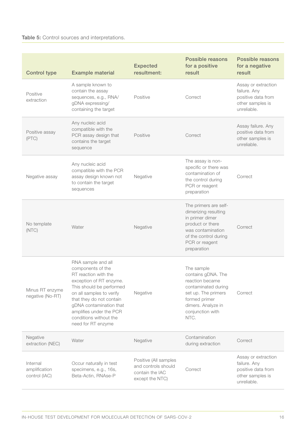### Table 5: Control sources and interpretations.

| <b>Control type</b>                        | <b>Example material</b>                                                                                                                                                                                                                                                              | <b>Expected</b><br>resultment:                                                     | Possible reasons<br>for a positive<br>result                                                                                                                         | Possible reasons<br>for a negative<br>result                                                 |
|--------------------------------------------|--------------------------------------------------------------------------------------------------------------------------------------------------------------------------------------------------------------------------------------------------------------------------------------|------------------------------------------------------------------------------------|----------------------------------------------------------------------------------------------------------------------------------------------------------------------|----------------------------------------------------------------------------------------------|
| Positive<br>extraction                     | A sample known to<br>contain the assay<br>sequences, e.g., RNA/<br>gDNA expressing/<br>containing the target                                                                                                                                                                         | Positive                                                                           | Correct                                                                                                                                                              | Assay or extraction<br>failure. Any<br>positive data from<br>other samples is<br>unreliable. |
| Positive assay<br>(PTC)                    | Any nucleic acid<br>compatible with the<br>PCR assay design that<br>contains the target<br>sequence                                                                                                                                                                                  | Positive                                                                           | Correct                                                                                                                                                              | Assay failure. Any<br>positive data from<br>other samples is<br>unreliable.                  |
| Negative assay                             | Any nucleic acid<br>compatible with the PCR<br>assay design known not<br>to contain the target<br>sequences                                                                                                                                                                          | Negative                                                                           | The assay is non-<br>specific or there was<br>contamination of<br>the control during<br>PCR or reagent<br>preparation                                                | Correct                                                                                      |
| No template<br>(NTC)                       | Water                                                                                                                                                                                                                                                                                | Negative                                                                           | The primers are self-<br>dimerizing resulting<br>in primer dimer<br>product or there<br>was contamination<br>of the control during<br>PCR or reagent<br>preparation  | Correct                                                                                      |
| Minus RT enzyme<br>negative (No-RT)        | RNA sample and all<br>components of the<br>RT reaction with the<br>exception of RT enzyme.<br>This should be performed<br>on all samples to verify<br>that they do not contain<br>gDNA contamination that<br>amplifies under the PCR<br>conditions without the<br>need for RT enzyme | Negative                                                                           | The sample<br>contains gDNA. The<br>reaction became<br>contaminated during<br>set up. The primers<br>formed primer<br>dimers. Analyze in<br>conjunction with<br>NTC. | Correct                                                                                      |
| Negative<br>extraction (NEC)               | Water                                                                                                                                                                                                                                                                                | Negative                                                                           | Contamination<br>during extraction                                                                                                                                   | Correct                                                                                      |
| Internal<br>amplification<br>control (IAC) | Occur naturally in test<br>specimens, e.g., 16s,<br>Beta-Actin, RNAse-P                                                                                                                                                                                                              | Positive (All samples<br>and controls should<br>contain the IAC<br>except the NTC) | Correct                                                                                                                                                              | Assay or extraction<br>failure. Any<br>positive data from<br>other samples is<br>unreliable. |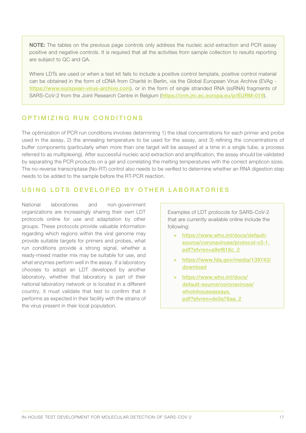NOTE: The tables on the previous page controls only address the nucleic acid extraction and PCR assay positive and negative controls. It is required that all the activities from sample collection to results reporting are subject to QC and QA.

Where LDTs are used or when a test kit fails to include a positive control template, positive control material can be obtained in the form of cDNA from Charité in Berlin, via the Global European Virus Archive (EVAg <https://www.european-virus-archive.com>), or in the form of single stranded RNA (ssRNA) fragments of SARS-CoV-2 from the Joint Research Centre in Belgium (<https://crm.jrc.ec.europa.eu/p/EURM-019>).

### OPTIMIZING RUN CONDITIONS

The optimization of PCR run conditions involves determining 1) the ideal concentrations for each primer and probe used in the assay, 2) the annealing temperature to be used for the assay, and 3) refining the concentrations of buffer components (particularly when more than one target will be assayed at a time in a single tube, a process referred to as multiplexing). After successful nucleic acid extraction and amplification, the assay should be validated by separating the PCR products on a gel and correlating the melting temperatures with the correct amplicon sizes. The no-reverse transcriptase (No-RT) control also needs to be verified to determine whether an RNA digestion step needs to be added to the sample before the RT-PCR reaction.

### USING LDTS DEVELOPED BY OTHER LABORATORIES

National laboratories and non-government organizations are increasingly sharing their own LDT protocols online for use and adaptation by other groups. These protocols provide valuable information regarding which regions within the viral genome may provide suitable targets for primers and probes, what run conditions provide a strong signal, whether a ready-mixed master mix may be suitable for use, and what enzymes perform well in the assay. If a laboratory chooses to adopt an LDT developed by another laboratory, whether that laboratory is part of their national laboratory network or is located in a different country, it must validate that test to confirm that it performs as expected in their facility with the strains of the virus present in their local population.

Examples of LDT protocols for SARS-CoV-2 that are currently available online include the following:

- + [https://www.who.int/docs/default](https://www.who.int/docs/default-source/coronaviruse/protocol-v2-1.pdf?sfvrsn=a9ef618c_2)[source/coronaviruse/protocol-v2-1.](https://www.who.int/docs/default-source/coronaviruse/protocol-v2-1.pdf?sfvrsn=a9ef618c_2) [pdf?sfvrsn=a9ef618c\\_2](https://www.who.int/docs/default-source/coronaviruse/protocol-v2-1.pdf?sfvrsn=a9ef618c_2)
- + [https://www.fda.gov/media/139743/](https://www.fda.gov/media/139743/download) [download](https://www.fda.gov/media/139743/download)
- + [https://www.who.int/docs/](https://www.who.int/docs/default-source/coronaviruse/whoinhouseassays.pdf?sfvrsn=de3a76aa_2) [default-source/coronaviruse/](https://www.who.int/docs/default-source/coronaviruse/whoinhouseassays.pdf?sfvrsn=de3a76aa_2) [whoinhouseassays.](https://www.who.int/docs/default-source/coronaviruse/whoinhouseassays.pdf?sfvrsn=de3a76aa_2) [pdf?sfvrsn=de3a76aa\\_2](https://www.who.int/docs/default-source/coronaviruse/whoinhouseassays.pdf?sfvrsn=de3a76aa_2)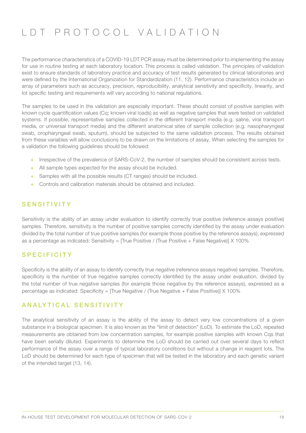# LDT PROTOCOL VALIDATION

The performance characteristics of a COVID-19 LDT PCR assay must be determined prior to implementing the assay for use in routine testing at each laboratory location. This process is called validation. The principles of validation exist to ensure standards of laboratory practice and accuracy of test results generated by clinical laboratories and were defined by the International Organization for Standardization (11, 12). Performance characteristics include an array of parameters such as accuracy, precision, reproducibility, analytical sensitivity and specificity, linearity, and lot specific testing and requirements will vary according to national regulations.

The samples to be used in the validation are especially important. These should consist of positive samples with known cycle quantification values (Cq; known viral loads) as well as negative samples that were tested on validated systems. If possible, representative samples collected in the different transport media (e.g. saline, viral transport media, or universal transport media) and the different anatomical sites of sample collection (e.g. nasopharyngeal swab, oropharyngeal swab, sputum), should be subjected to the same validation process. The results obtained from these variables will allow conclusions to be drawn on the limitations of assay. When selecting the samples for a validation the following guidelines should be followed:

- + Irrespective of the prevalence of SARS-CoV-2, the number of samples should be consistent across tests.
- + All sample types expected for the assay should be included.
- + Samples with all the possible results (CT ranges) should be included.
- + Controls and calibration materials should be obtained and included.

### **SENSITIVITY**

Sensitivity is the ability of an assay under evaluation to identify correctly true positive (reference assays positive) samples. Therefore, sensitivity is the number of positive samples correctly identified by the assay under evaluation divided by the total number of true positive samples (for example those positive by the reference assays), expressed as a percentage as indicated: Sensitivity = [True Positive / (True Positive + False Negative)] X 100%

#### **SPECIFICITY**

Specificity is the ability of an assay to identify correctly true negative (reference assays negative) samples. Therefore, specificity is the number of true negative samples correctly identified by the assay under evaluation, divided by the total number of true negative samples (for example those negative by the reference assays), expressed as a percentage as indicated: Specificity = [True Negative / (True Negative + False Positive)] X 100%

#### ANALYTICAL SENSITIVITY

The analytical sensitivity of an assay is the ability of the assay to detect very low concentrations of a given substance in a biological specimen. It is also known as the "limit of detection" (LoD). To estimate the LoD, repeated measurements are obtained from low concentration samples, for example positive samples with known Cqs that have been serially diluted. Experiments to determine the LoD should be carried out over several days to reflect performance of the assay over a range of typical laboratory conditions but without a change in reagent lots. The LoD should be determined for each type of specimen that will be tested in the laboratory and each genetic variant of the intended target (13, 14).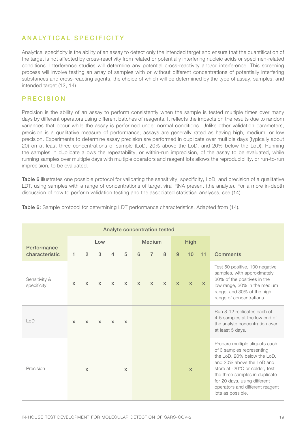## ANALYTICAL SPECIFICITY

Analytical specificity is the ability of an assay to detect only the intended target and ensure that the quantification of the target is not affected by cross-reactivity from related or potentially interfering nucleic acids or specimen-related conditions. Interference studies will determine any potential cross-reactivity and/or interference. This screening process will involve testing an array of samples with or without different concentrations of potentially interfering substances and cross-reacting agents, the choice of which will be determined by the type of assay, samples, and intended target (12, 14)

### PRECISION

Precision is the ability of an assay to perform consistently when the sample is tested multiple times over many days by different operators using different batches of reagents. It reflects the impacts on the results due to random variances that occur while the assay is performed under normal conditions. Unlike other validation parameters, precision is a qualitative measure of performance; assays are generally rated as having high, medium, or low precision. Experiments to determine assay precision are performed in duplicate over multiple days (typically about 20) on at least three concentrations of sample (LoD, 20% above the LoD, and 20% below the LoD). Running the samples in duplicate allows the repeatability, or within-run imprecision, of the assay to be evaluated, while running samples over multiple days with multiple operators and reagent lots allows the reproducibility, or run-to-run imprecision, to be evaluated.

Table 6 illustrates one possible protocol for validating the sensitivity, specificity, LoD, and precision of a qualitative LDT, using samples with a range of concentrations of target viral RNA present (the analyte). For a more in-depth discussion of how to perform validation testing and the associated statistical analyses, see (14).

| Analyte concentration tested |              |              |               |                |              |              |                |              |                                                                                                                                                                                                                                                                                     |              |              |                                                                                                                                                                                        |  |
|------------------------------|--------------|--------------|---------------|----------------|--------------|--------------|----------------|--------------|-------------------------------------------------------------------------------------------------------------------------------------------------------------------------------------------------------------------------------------------------------------------------------------|--------------|--------------|----------------------------------------------------------------------------------------------------------------------------------------------------------------------------------------|--|
| Performance                  | Low          |              | <b>Medium</b> |                |              | <b>High</b>  |                |              |                                                                                                                                                                                                                                                                                     |              |              |                                                                                                                                                                                        |  |
| characteristic               | 1.           | 2            | 3             | $\overline{4}$ | 5            | 6            | $\overline{7}$ | 8            | 9                                                                                                                                                                                                                                                                                   | 10           | 11           | <b>Comments</b>                                                                                                                                                                        |  |
| Sensitivity &<br>specificity | $\mathsf{x}$ | $\mathsf{x}$ | $\mathsf{x}$  | $\mathsf{x}$   | $\mathsf{x}$ | $\mathsf{x}$ | $\mathsf{x}$   | $\mathsf{x}$ | $\mathsf{x}$                                                                                                                                                                                                                                                                        | $\mathbf{x}$ | $\mathsf{x}$ | Test 50 positive, 100 negative<br>samples, with approximately<br>30% of the positives in the<br>low range, 30% in the medium<br>range, and 30% of the high<br>range of concentrations. |  |
| $\mathsf{LOD}$               | $\mathsf{x}$ | $\mathsf{x}$ | $\mathsf{x}$  | $\mathsf{x}$   | $\mathsf{x}$ |              |                |              |                                                                                                                                                                                                                                                                                     |              |              | Run 8-12 replicates each of<br>4-5 samples at the low end of<br>the analyte concentration over<br>at least 5 days.                                                                     |  |
| Precision                    |              | $\mathsf{x}$ |               |                | $\mathsf{x}$ |              | $\mathbf{x}$   |              | Prepare multiple aliquots each<br>of 3 samples representing<br>the LoD, 20% below the LoD,<br>and 20% above the LoD and<br>store at -20°C or colder; test<br>the three samples in duplicate<br>for 20 days, using different<br>operators and different reagent<br>lots as possible. |              |              |                                                                                                                                                                                        |  |

Table 6: Sample protocol for determining LDT performance characteristics. Adapted from (14).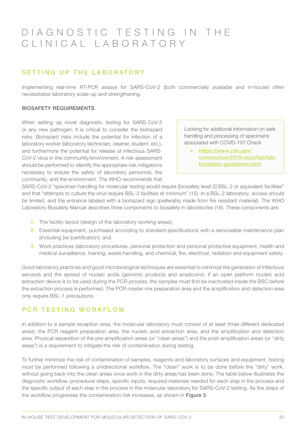## D I A G N O S T I C T E S T I N G I N T H E CLINICAL LABORATORY

## SETTING UP THE LABORATORY

Implementing real-time RT-PCR assays for SARS-CoV-2 (both commercially available and in-house) often necessitates laboratory scale-up and strengthening.

#### BIOSAFETY REQUIREMENTS

When setting up novel diagnostic testing for SARS-CoV-2 or any new pathogen, it is critical to consider the biohazard risks. Biohazard risks include the potential for infection of a laboratory worker (laboratory technician, cleaner, student, etc.), and furthermore the potential for release of infectious SARS-CoV-2 virus in the community/environment. A risk assessment should be performed to identify the appropriate risk mitigations necessary to ensure the safety of laboratory personnel, the community, and the environment. The WHO recommends that

Looking for additional information on safe handling and processing of specimens associated with COVID-19? Check

+ [https://www.cdc.gov/](https://www.cdc.gov/coronavirus/2019-ncov/lab/lab-biosafety-guidelines.html) [coronavirus/2019-ncov/lab/lab](https://www.cdc.gov/coronavirus/2019-ncov/lab/lab-biosafety-guidelines.html)[biosafety-guidelines.html](https://www.cdc.gov/coronavirus/2019-ncov/lab/lab-biosafety-guidelines.html)

SARS-CoV-2 "specimen handling for molecular testing would require [biosafety level 2] BSL-2 or equivalent facilities" and that "attempts to culture the virus require BSL-3 facilities at minimum" (15). In a BSL-2 laboratory, access should be limited, and the entrance labeled with a biohazard sign (preferably made from fire resistant material). The WHO Laboratory Biosafety Manual describes three components to biosafety in laboratories (16). These components are:

- 1. The facility layout (design of the laboratory working areas);
- 2. Essential equipment, purchased according to standard specifications with a serviceable maintenance plan (including [re-]certification); and
- 3. Work practices (laboratory procedures, personal protection and personal protective equipment, health and medical surveillance, training, waste handling, and chemical, fire, electrical, radiation and equipment safety.

Good laboratory practices and good microbiological techniques are essential to minimize the generation of infectious aerosols and the spread of nucleic acids (genomic products and amplicons). If an open platform nucleic acid extraction device is to be used during the PCR process, the samples must first be inactivated inside the BSC before the extraction process is performed. The PCR master mix preparation area and the amplification and detection area only require BSL-1 precautions.

### PCR TESTING WORKFLOW

In addition to a sample reception area, the molecular laboratory must consist of at least three different dedicated areas: the PCR reagent preparation area, the nucleic acid extraction area, and the amplification and detection area. Physical separation of the pre-amplification areas (or "clean areas") and the post-amplification areas (or "dirty areas") is a requirement to mitigate the risk of contamination during testing.

To further minimize the risk of contamination of samples, reagents and laboratory surfaces and equipment, testing must be performed following a unidirectional workflow. The "clean" work is to be done before the "dirty" work, without going back into the clean areas once work in the dirty areas has been done. The table below illustrates the diagnostic workflow, procedural steps, specific inputs, required materials needed for each step in the process and the specific output of each step in the process in the molecular laboratory for SARS-CoV-2 testing. As the steps of the workflow progresses the contamination risk increases, as shown in Figure 3.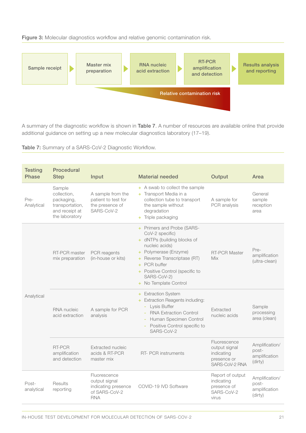Figure 3: Molecular diagnostics workflow and relative genomic contamination risk.



A summary of the diagnostic workflow is shown in Table 7. A number of resources are available online that provide additional guidance on setting up a new molecular diagnostics laboratory (17–19).

Table 7: Summary of a SARS-CoV-2 Diagnostic Workflow.

| <b>Testing</b><br><b>Phase</b> | <b>Procedural</b><br><b>Step</b>                                                           | Input                                                                               | <b>Material needed</b>                                                                                                                                                                                                                             | Output                                                                       | Area                                                |
|--------------------------------|--------------------------------------------------------------------------------------------|-------------------------------------------------------------------------------------|----------------------------------------------------------------------------------------------------------------------------------------------------------------------------------------------------------------------------------------------------|------------------------------------------------------------------------------|-----------------------------------------------------|
| Pre-<br>Analytical             | Sample<br>collection,<br>packaging,<br>transportation,<br>and receipt at<br>the laboratory | A sample from the<br>patient to test for<br>the presence of<br>SARS-CoV-2           | + A swab to collect the sample<br>+ Transport Media in a<br>collection tube to transport<br>the sample without<br>degradation<br>+ Triple packaging                                                                                                | A sample for<br>PCR analysis                                                 | General<br>sample<br>reception<br>area              |
| Analytical                     | <b>RT-PCR master</b><br>mix preparation                                                    | PCR reagents<br>(in-house or kits)                                                  | + Primers and Probe (SARS-<br>CoV-2 specific)<br>+ dNTPs (building blocks of<br>nucleic acids)<br>+ Polymerase (Enzyme)<br>+ Reverse Transcriptase (RT)<br>+ PCR buffer<br>+ Positive Control (specific to<br>SARS-CoV-2)<br>+ No Template Control | <b>RT-PCR Master</b><br>Mix                                                  | Pre-<br>amplification<br>(ultra-clean)              |
|                                | RNA nucleic<br>acid extraction                                                             | A sample for PCR<br>analysis                                                        | <b>Extraction System</b><br>÷.<br><b>Extraction Reagents including:</b><br>Lysis Buffer<br><b>RNA Extraction Control</b><br>Human Specimen Control<br>Positive Control specific to<br>SARS-CoV-2                                                   | Extracted<br>nucleic acids                                                   | Sample<br>processing<br>area (clean)                |
|                                | RT-PCR<br>amplification<br>and detection                                                   | Extracted nucleic<br>acids & RT-PCR<br>master mix                                   | RT- PCR instruments                                                                                                                                                                                                                                | Fluorescence<br>output signal<br>indicating<br>presence or<br>SARS-CoV-2 RNA | Amplification/<br>post-<br>amplification<br>(dirty) |
| Post-<br>analytical            | Results<br>reporting                                                                       | Fluorescence<br>output signal<br>indicating presence<br>of SARS-CoV-2<br><b>RNA</b> | COVID-19 IVD Software                                                                                                                                                                                                                              | Report of output<br>indicating<br>presence of<br>SARS-CoV-2<br>virus         | Amplification/<br>post-<br>amplification<br>(dirty) |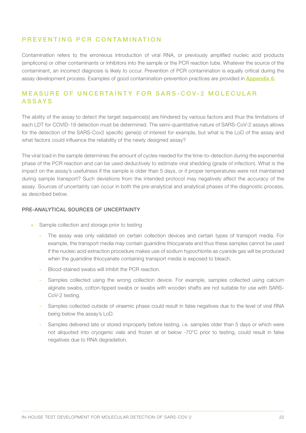### PREVENTING PCR CONTAMINATION

Contamination refers to the erroneous introduction of viral RNA, or previously amplified nucleic acid products (amplicons) or other contaminants or inhibitors into the sample or the PCR reaction tube. Whatever the source of the contaminant, an incorrect diagnosis is likely to occur. Prevention of PCR contamination is equally critical during the assay development process. Examples of good contamination-prevention practices are provided in **[Appendix 6](#page-32-0).** 

### MEASURE OF UNCERTAINTY FOR SARS-COV-2 MOLECULAR ASSAYS

The ability of the assay to detect the target sequence(s) are hindered by various factors and thus the limitations of each LDT for COVID-19 detection must be determined. The semi-quantitative nature of SARS-CoV-2 assays allows for the detection of the SARS-Cov2 specific gene(s) of interest for example, but what is the LoD of the assay and what factors could influence the reliability of the newly designed assay?

The viral load in the sample determines the amount of cycles needed for the time-to-detection during the exponential phase of the PCR reaction and can be used deductively to estimate viral shedding (grade of infection). What is the impact on the assay's usefulness if the sample is older than 5 days, or if proper temperatures were not maintained during sample transport? Such deviations from the intended protocol may negatively affect the accuracy of the assay. Sources of uncertainty can occur in both the pre-analytical and analytical phases of the diagnostic process, as described below.

#### PRE-ANALYTICAL SOURCES OF UNCERTAINTY

- + Sample collection and storage prior to testing
	- The assay was only validated on certain collection devices and certain types of transport media. For example, the transport media may contain guanidine thiocyanate and thus these samples cannot be used if the nucleic acid extraction procedure makes use of sodium hypochlorite as cyanide gas will be produced when the guanidine thiocyanate containing transport media is exposed to bleach.
	- Blood-stained swabs will inhibit the PCR reaction.
	- Samples collected using the wrong collection device. For example, samples collected using calcium alginate swabs, cotton-tipped swabs or swabs with wooden shafts are not suitable for use with SARS-CoV-2 testing.
	- Samples collected outside of viraemic phase could result in false negatives due to the level of viral RNA being below the assay's LoD.
	- Samples delivered late or stored improperly before testing, i.e. samples older than 5 days or which were not aliquoted into cryogenic vials and frozen at or below -70°C prior to testing, could result in false negatives due to RNA degradation.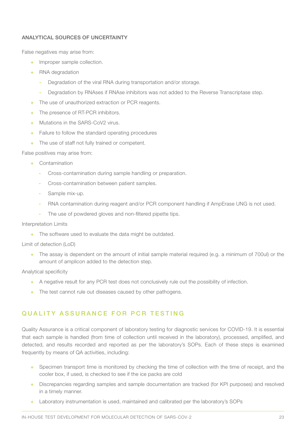#### ANALYTICAL SOURCES OF UNCERTAINTY

False negatives may arise from:

- + Improper sample collection.
- + RNA degradation
	- Degradation of the viral RNA during transportation and/or storage.
	- Degradation by RNAses if RNAse inhibitors was not added to the Reverse Transcriptase step.
- + The use of unauthorized extraction or PCR reagents.
- + The presence of RT-PCR inhibitors.
- + Mutations in the SARS-CoV2 virus.
- + Failure to follow the standard operating procedures
- + The use of staff not fully trained or competent.

False positives may arise from:

- + Contamination
	- Cross-contamination during sample handling or preparation.
	- Cross-contamination between patient samples.
	- Sample mix-up.
	- RNA contamination during reagent and/or PCR component handling if AmpErase UNG is not used.
	- The use of powdered gloves and non-filtered pipette tips.

#### Interpretation Limits

+ The software used to evaluate the data might be outdated.

#### Limit of detection (LoD)

+ The assay is dependent on the amount of initial sample material required (e.g. a minimum of 700ul) or the amount of amplicon added to the detection step.

Analytical specificity

- + A negative result for any PCR test does not conclusively rule out the possibility of infection.
- + The test cannot rule out diseases caused by other pathogens.

## QUALITY ASSURANCE FOR PCR TESTING

Quality Assurance is a critical component of laboratory testing for diagnostic services for COVID-19. It is essential that each sample is handled (from time of collection until received in the laboratory), processed, amplified, and detected, and results recorded and reported as per the laboratory's SOPs. Each of these steps is examined frequently by means of QA activities, including:

- + Specimen transport time is monitored by checking the time of collection with the time of receipt, and the cooler box, if used, is checked to see if the ice packs are cold
- + Discrepancies regarding samples and sample documentation are tracked (for KPI purposes) and resolved in a timely manner.
- + Laboratory instrumentation is used, maintained and calibrated per the laboratory's SOPs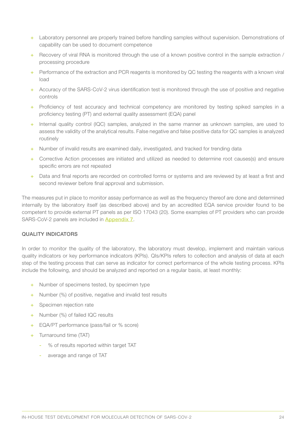- + Laboratory personnel are properly trained before handling samples without supervision. Demonstrations of capability can be used to document competence
- + Recovery of viral RNA is monitored through the use of a known positive control in the sample extraction / processing procedure
- + Performance of the extraction and PCR reagents is monitored by QC testing the reagents with a known viral load
- + Accuracy of the SARS-CoV-2 virus identification test is monitored through the use of positive and negative controls
- + Proficiency of test accuracy and technical competency are monitored by testing spiked samples in a proficiency testing (PT) and external quality assessment (EQA) panel
- + Internal quality control (IQC) samples, analyzed in the same manner as unknown samples, are used to assess the validity of the analytical results. False negative and false positive data for QC samples is analyzed routinely
- + Number of invalid results are examined daily, investigated, and tracked for trending data
- + Corrective Action processes are initiated and utilized as needed to determine root causes(s) and ensure specific errors are not repeated
- + Data and final reports are recorded on controlled forms or systems and are reviewed by at least a first and second reviewer before final approval and submission.

The measures put in place to monitor assay performance as well as the frequency thereof are done and determined internally by the laboratory itself (as described above) and by an accredited EQA service provider found to be competent to provide external PT panels as per ISO 17043 (20). Some examples of PT providers who can provide SARS-CoV-2 panels are included in [Appendix 7](#page-35-0).

#### QUALITY INDICATORS

In order to monitor the quality of the laboratory, the laboratory must develop, implement and maintain various quality indicators or key performance indicators (KPIs). QIs/KPIs refers to collection and analysis of data at each step of the testing process that can serve as indicator for correct performance of the whole testing process. KPIs include the following, and should be analyzed and reported on a regular basis, at least monthly:

- + Number of specimens tested, by specimen type
- + Number (%) of positive, negative and invalid test results
- + Specimen rejection rate
- + Number (%) of failed IQC results
- + EQA/PT performance (pass/fail or % score)
- + Turnaround time (TAT)
	- % of results reported within target TAT
	- average and range of TAT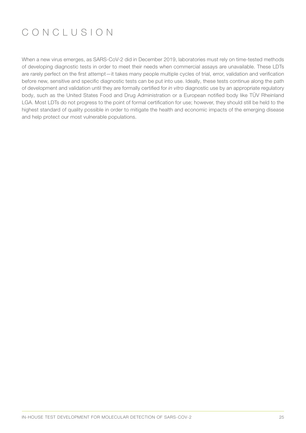# CONCLUSION

When a new virus emerges, as SARS-CoV-2 did in December 2019, laboratories must rely on time-tested methods of developing diagnostic tests in order to meet their needs when commercial assays are unavailable. These LDTs are rarely perfect on the first attempt—it takes many people multiple cycles of trial, error, validation and verification before new, sensitive and specific diagnostic tests can be put into use. Ideally, these tests continue along the path of development and validation until they are formally certified for *in vitro* diagnostic use by an appropriate regulatory body, such as the United States Food and Drug Administration or a European notified body like TÜV Rheinland LGA. Most LDTs do not progress to the point of formal certification for use; however, they should still be held to the highest standard of quality possible in order to mitigate the health and economic impacts of the emerging disease and help protect our most vulnerable populations.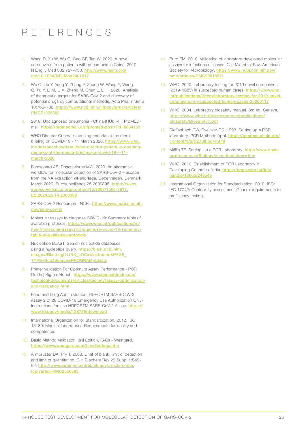# REFERENCES

- Wang D, Xu W, Wu G, Gao GF, Tan W. 2020. A novel coronavirus from patients with pneumonia in China, 2019. N Engl J Med 382:727–733. [http://www.nejm.org/](http://www.nejm.org/doi/10.1056/NEJMoa2001017) [doi/10.1056/NEJMoa2001017](http://www.nejm.org/doi/10.1056/NEJMoa2001017)
- 2. Wu C, Liu Y, Yang Y, Zhang P, Zhong W, Wang Y, Wang Q, Xu Y, Li M, Li X, Zheng M, Chen L, Li H. 2020. Analysis of therapeutic targets for SARS-CoV-2 and discovery of potential drugs by computational methods. Acta Pharm Sin B 10:766–788. [https://www.ncbi.nlm.nih.gov/pmc/articles/](https://www.ncbi.nlm.nih.gov/pmc/articles/PMC7102550/) [PMC7102550/](https://www.ncbi.nlm.nih.gov/pmc/articles/PMC7102550/)
- 3. 2019. Undiagnosed pneumonia China (HU): RFI. ProMEDmail. <https://promedmail.org/promed-post/?id=6864153>
- 4. WHO Director-General's opening remarks at the media briefing on COVID-19 - 11 March 2020. [https://www.who.](https://www.who.int/dg/speeches/detail/who-director-general-s-opening-remarks-at-the-media-briefing-on-covid-19---11-march-2020) [int/dg/speeches/detail/who-director-general-s-opening](https://www.who.int/dg/speeches/detail/who-director-general-s-opening-remarks-at-the-media-briefing-on-covid-19---11-march-2020)[remarks-at-the-media-briefing-on-covid-19---11](https://www.who.int/dg/speeches/detail/who-director-general-s-opening-remarks-at-the-media-briefing-on-covid-19---11-march-2020) [march-2020](https://www.who.int/dg/speeches/detail/who-director-general-s-opening-remarks-at-the-media-briefing-on-covid-19---11-march-2020)
- 5. Fomsgaard AS, Rosenstierne MW. 2020. An alternative workflow for molecular detection of SARS-CoV-2 – escape from the NA extraction kit-shortage, Copenhagen, Denmark, March 2020. Eurosurveillance 25:2000398. [https://www.](https://www.eurosurveillance.org/content/10.2807/1560-7917.ES.2020.25.14.2000398) [eurosurveillance.org/content/10.2807/1560-7917.](https://www.eurosurveillance.org/content/10.2807/1560-7917.ES.2020.25.14.2000398) [ES.2020.25.14.2000398](https://www.eurosurveillance.org/content/10.2807/1560-7917.ES.2020.25.14.2000398)
- 6. SARS-CoV-2 Resources NCBI. [https://www.ncbi.nlm.nih.](https://www.ncbi.nlm.nih.gov/sars-cov-2/) [gov/sars-cov-2/](https://www.ncbi.nlm.nih.gov/sars-cov-2/)
- 7. Molecular assays to diagnose COVID-19: Summary table of available protocols. [https://www.who.int/publications/m/](https://www.who.int/publications/m/item/molecular-assays-to-diagnose-covid-19-summary-table-of-available-protocols) [item/molecular-assays-to-diagnose-covid-19-summary](https://www.who.int/publications/m/item/molecular-assays-to-diagnose-covid-19-summary-table-of-available-protocols)[table-of-available-protocols](https://www.who.int/publications/m/item/molecular-assays-to-diagnose-covid-19-summary-table-of-available-protocols)
- 8. Nucleotide BLAST: Search nucleotide databases using a nucleotide query. [https://blast.ncbi.nlm.](https://blast.ncbi.nlm.nih.gov/Blast.cgi?LINK_LOC=blasthome&PAGE_TYPE=BlastSearch&PROGRAM=blastn) [nih.gov/Blast.cgi?LINK\\_LOC=blasthome&PAGE\\_](https://blast.ncbi.nlm.nih.gov/Blast.cgi?LINK_LOC=blasthome&PAGE_TYPE=BlastSearch&PROGRAM=blastn) [TYPE=BlastSearch&PROGRAM=blastn](https://blast.ncbi.nlm.nih.gov/Blast.cgi?LINK_LOC=blasthome&PAGE_TYPE=BlastSearch&PROGRAM=blastn)
- 9. Primer validation For Optimum Assay Performance PCR Guide | Sigma-Aldrich. [https://www.sigmaaldrich.com/](https://www.sigmaaldrich.com/technical-documents/articles/biology/assay-optimization-and-validation.html ) [technical-documents/articles/biology/assay-optimization](https://www.sigmaaldrich.com/technical-documents/articles/biology/assay-optimization-and-validation.html )[and-validation.html](https://www.sigmaaldrich.com/technical-documents/articles/biology/assay-optimization-and-validation.html )
- 10. Food and Drug Administration. HDPCRTM SARS-CoV-2 Assay 2 of 28 COVID-19 Emergency Use Authorization OnlyInstructions for Use HDPCRTM SARS-CoV-2 Assay. [https://](https://www.fda.gov/media/138786/download) [www.fda.gov/media/138786/download](https://www.fda.gov/media/138786/download)
- 11. International Organization for Standardization. 2012. ISO 15189: Medical laboratories-Requirements for quality and competence.
- 12. Basic Method Validation, 3rd Edition, FAQs Westgard. <https://www.westgard.com/bmv3edfaqs.htm>
- 13. Armbruster DA, Pry T. 2008. Limit of blank, limit of detection and limit of quantitation. Clin Biochem Rev 29 Suppl 1:S49- 52. [http://www.pubmedcentral.nih.gov/articlerender.](http://www.pubmedcentral.nih.gov/articlerender.fcgi?artid=PMC2556583) [fcgi?artid=PMC2556583](http://www.pubmedcentral.nih.gov/articlerender.fcgi?artid=PMC2556583)
- 14. Burd EM. 2010. Validation of laboratory-developed molecular assays for infectious diseases. Clin Microbiol Rev. American Society for Microbiology. [https://www.ncbi.nlm.nih.gov/](https://www.ncbi.nlm.nih.gov/pmc/articles/PMC2901657/) [pmc/articles/PMC2901657/](https://www.ncbi.nlm.nih.gov/pmc/articles/PMC2901657/)
- 15. WHO. 2020. Laboratory testing for 2019 novel coronavirus (2019-nCoV) in suspected human cases. [https://www.who.](https://www.who.int/publications/i/item/laboratory-testing-for-2019-novel-coronavirus-in-suspected-human-cases-20200117) [int/publications/i/item/laboratory-testing-for-2019-novel](https://www.who.int/publications/i/item/laboratory-testing-for-2019-novel-coronavirus-in-suspected-human-cases-20200117)[coronavirus-in-suspected-human-cases-20200117](https://www.who.int/publications/i/item/laboratory-testing-for-2019-novel-coronavirus-in-suspected-human-cases-20200117)
- 16. WHO. 2004. Laboratory biosafety manual, 3rd ed. Geneva. [https://www.who.int/csr/resources/publications/](https://www.who.int/csr/resources/publications/biosafety/Biosafety7.pdf) [biosafety/Biosafety7.pdf](https://www.who.int/csr/resources/publications/biosafety/Biosafety7.pdf)
- 17. Dieffenbach CW, Dveksler GS. 1993. Setting up a PCR laboratory. PCR Methods Appl. [https://genome.cshlp.org/](https://genome.cshlp.org/content/3/2/S2.full.pdf+html) [content/3/2/S2.full.pdf+html](https://genome.cshlp.org/content/3/2/S2.full.pdf+html)
- 18. Mifflin TE. Setting Up a PCR Laboratory. [http://www.dnalc.](http://www.dnalc.org/resources/BiologyAnimationLibrary.htm) [org/resources/BiologyAnimationLibrary.htm](http://www.dnalc.org/resources/BiologyAnimationLibrary.htm)
- 19. WHO. 2016. Establishment of PCR Laboratory in Developing Countries. India. [https://apps.who.int/iris/](https://apps.who.int/iris/handle/10665/249549) [handle/10665/249549](https://apps.who.int/iris/handle/10665/249549)
- 20. International Organization for Standardization. 2010. ISO/ IEC 17042: Conformity assessment-General requirements for proficiency testing.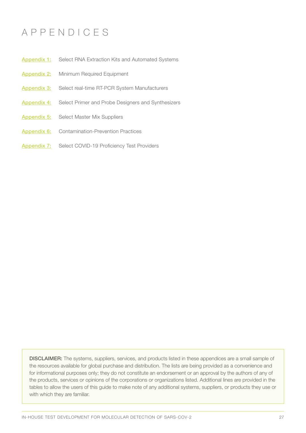## APPENDICES

- [Appendix 1:](#page-27-0) Select RNA Extraction Kits and Automated Systems
- [Appendix 2:](#page-28-0) Minimum Required Equipment
- [Appendix 3:](#page-29-0) Select real-time RT-PCR System Manufacturers
- [Appendix 4:](#page-30-0) Select Primer and Probe Designers and Synthesizers
- **[Appendix 5:](#page-31-0)** Select Master Mix Suppliers
- [Appendix 6:](#page-32-0) Contamination-Prevention Practices
- [Appendix 7:](#page-35-0) Select COVID-19 Proficiency Test Providers

DISCLAIMER: The systems, suppliers, services, and products listed in these appendices are a small sample of the resources available for global purchase and distribution. The lists are being provided as a convenience and for informational purposes only; they do not constitute an endorsement or an approval by the authors of any of the products, services or opinions of the corporations or organizations listed. Additional lines are provided in the tables to allow the users of this guide to make note of any additional systems, suppliers, or products they use or with which they are familiar.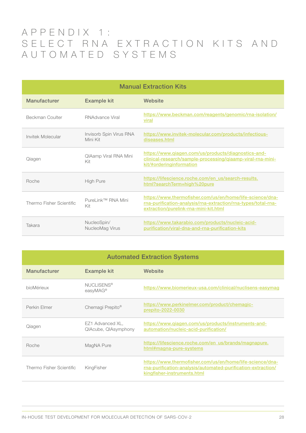## <span id="page-27-0"></span>APPENDIX 1: S E L E C T R N A E X T R A C T I O N K I T S A N D AUTOMATED SYSTEMS

| <b>Manual Extraction Kits</b> |                                     |                                                                                                                                                                     |  |  |
|-------------------------------|-------------------------------------|---------------------------------------------------------------------------------------------------------------------------------------------------------------------|--|--|
| Manufacturer                  | <b>Example kit</b>                  | Website                                                                                                                                                             |  |  |
| <b>Beckman Coulter</b>        | RNAdvance Viral                     | https://www.beckman.com/reagents/genomic/rna-isolation/<br>viral                                                                                                    |  |  |
| Invitek Molecular             | Invisorb Spin Virus RNA<br>Mini Kit | https://www.invitek-molecular.com/products/infectious-<br>diseases.html                                                                                             |  |  |
| Qiagen                        | QIAamp Viral RNA Mini<br>Kit        | https://www.qiagen.com/us/products/diagnostics-and-<br>clinical-research/sample-processing/qiaamp-viral-rna-mini-<br>kit/#orderinginformation                       |  |  |
| Roche                         | <b>High Pure</b>                    | https://lifescience.roche.com/en_us/search-results.<br>html?searchTerm=high%20pure                                                                                  |  |  |
| Thermo Fisher Scientific      | Purel ink™ RNA Mini<br>Kit          | https://www.thermofisher.com/us/en/home/life-science/dna-<br>rna-purification-analysis/rna-extraction/rna-types/total-rna-<br>extraction/purelink-rna-mini-kit.html |  |  |
| Takara                        | NucleoSpin/<br>NucleoMag Virus      | https://www.takarabio.com/products/nucleic-acid-<br>purification/viral-dna-and-rna-purification-kits                                                                |  |  |

| <b>Automated Extraction Systems</b> |                                          |                                                                                                                                                          |
|-------------------------------------|------------------------------------------|----------------------------------------------------------------------------------------------------------------------------------------------------------|
| Manufacturer                        | <b>Example kit</b>                       | Website                                                                                                                                                  |
| bioMérieux                          | <b>NUCLISENS®</b><br>easyMAG®            | https://www.biomerieux-usa.com/clinical/nuclisens-easymag                                                                                                |
| Perkin Flmer                        | Chemagi Prepito <sup>®</sup>             | https://www.perkinelmer.com/product/chemagic-<br>prepito-2022-0030                                                                                       |
| Qiagen                              | EZ1 Advanced XL,<br>QIAcube, QIAsymphony | https://www.qiagen.com/us/products/instruments-and-<br>automation/nucleic-acid-purification/                                                             |
| Roche                               | MagNA Pure                               | https://lifescience.roche.com/en_us/brands/magnapure.<br>html#magna-pure-systems                                                                         |
| Thermo Fisher Scientific            | KingFisher                               | https://www.thermofisher.com/us/en/home/life-science/dna-<br>rna-purification-analysis/automated-purification-extraction/<br>kingfisher-instruments.html |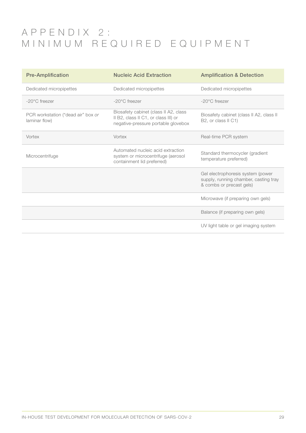## <span id="page-28-0"></span>APPENDIX 2: MINIMUM REQUIRED EQUIPMENT

| <b>Pre-Amplification</b>                            | <b>Nucleic Acid Extraction</b>                                                                                       | <b>Amplification &amp; Detection</b>                                                                   |
|-----------------------------------------------------|----------------------------------------------------------------------------------------------------------------------|--------------------------------------------------------------------------------------------------------|
| Dedicated micropipettes                             | Dedicated micropipettes                                                                                              | Dedicated micropipettes                                                                                |
| $-20^{\circ}$ C freezer                             | $-20^{\circ}$ C freezer                                                                                              | $-20^{\circ}$ C freezer                                                                                |
| PCR workstation ("dead air" box or<br>laminar flow) | Biosafety cabinet (class II A2, class<br>II B2, class II C1, or class III) or<br>negative-pressure portable glovebox | Biosafety cabinet (class II A2, class II<br>B2, or class II C1)                                        |
| Vortex                                              | Vortex                                                                                                               | Real-time PCR system                                                                                   |
| Microcentrifuge                                     | Automated nucleic acid extraction<br>system or microcentrifuge (aerosol<br>containment lid preferred)                | Standard thermocycler (gradient<br>temperature preferred)                                              |
|                                                     |                                                                                                                      | Gel electrophoresis system (power<br>supply, running chamber, casting tray<br>& combs or precast gels) |
|                                                     |                                                                                                                      | Microwave (if preparing own gels)                                                                      |
|                                                     |                                                                                                                      | Balance (if preparing own gels)                                                                        |
|                                                     |                                                                                                                      | UV light table or gel imaging system                                                                   |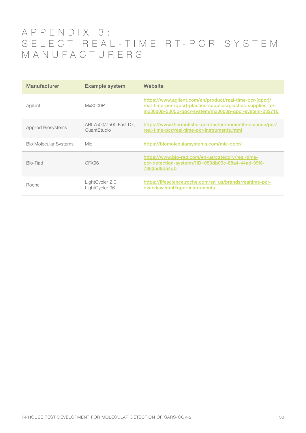## <span id="page-29-0"></span>APPENDIX 3: S E L E C T R E A L - T I M E R T - P C R S Y S T E M MANUFACTURERS

| Manufacturer                 | <b>Example system</b>                 | Website                                                                                                                                                                           |
|------------------------------|---------------------------------------|-----------------------------------------------------------------------------------------------------------------------------------------------------------------------------------|
| Agilent                      | Mx3000P                               | https://www.agilent.com/en/product/real-time-pcr-(qpcr)/<br>real-time-pcr-(qpcr)-plastics-supplies/plastics-supplies-for-<br>mx3000p-3005p-qpcr-system/mx3000p-qpcr-system-232710 |
| <b>Applied Biosystems</b>    | ABI 7500/7500 Fast Dx,<br>QuantStudio | https://www.thermofisher.com/us/en/home/life-science/pcr/<br>real-time-pcr/real-time-pcr-instruments.html                                                                         |
| <b>Bio Molecular Systems</b> | Mic.                                  | https://biomolecularsystems.com/mic-qpcr/                                                                                                                                         |
| Bio-Bad                      | CFX96                                 | https://www.bio-rad.com/en-us/category/real-time-<br>pcr-detection-systems?ID=059db09c-88a4-44ad-99f8-<br>78635d8d54db                                                            |
| Roche                        | LightCycler 2.0,<br>LightCycler 96    | https://lifescience.roche.com/en_us/brands/realtime-pcr-<br>overview.html#gpcr-instruments                                                                                        |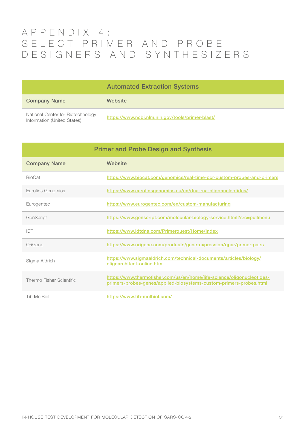## <span id="page-30-0"></span>APPENDIX 4: S E L E C T P R I M E R A N D P R O B E DESIGNERS AND SYNTHESIZERS

|                                                                  | <b>Automated Extraction Systems</b>              |
|------------------------------------------------------------------|--------------------------------------------------|
| <b>Company Name</b>                                              | Website                                          |
| National Center for Biotechnology<br>Information (United States) | https://www.ncbi.nlm.nih.gov/tools/primer-blast/ |

| <b>Primer and Probe Design and Synthesis</b> |                                                                                                                                              |
|----------------------------------------------|----------------------------------------------------------------------------------------------------------------------------------------------|
| <b>Company Name</b>                          | Website                                                                                                                                      |
| <b>BioCat</b>                                | https://www.biocat.com/genomics/real-time-pcr-custom-probes-and-primers                                                                      |
| <b>Furofins Genomics</b>                     | https://www.eurofinsgenomics.eu/en/dna-rna-oligonucleotides/                                                                                 |
| Eurogentec                                   | https://www.eurogentec.com/en/custom-manufacturing                                                                                           |
| GenScript                                    | https://www.genscript.com/molecular-biology-service.html?src=pullmenu                                                                        |
| IDT                                          | https://www.idtdna.com/Primerquest/Home/Index                                                                                                |
| OriGene                                      | https://www.origene.com/products/gene-expression/gpcr/primer-pairs                                                                           |
| Sigma Aldrich                                | https://www.sigmaaldrich.com/technical-documents/articles/biology/<br>oligoarchitect-online.html                                             |
| Thermo Fisher Scientific                     | https://www.thermofisher.com/us/en/home/life-science/oligonucleotides-<br>primers-probes-genes/applied-biosystems-custom-primers-probes.html |
| <b>Tib MolBiol</b>                           | https://www.tib-molbiol.com/                                                                                                                 |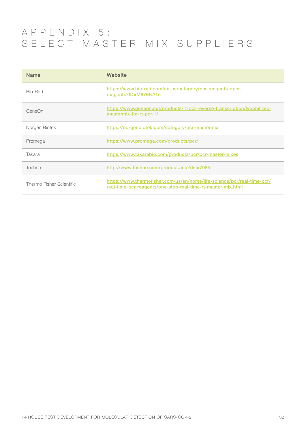## <span id="page-31-0"></span>APPENDIX 5: SELECT MASTER MIX SUPPLIERS

| <b>Name</b>              | Website                                                                                                                                 |
|--------------------------|-----------------------------------------------------------------------------------------------------------------------------------------|
| Bio-Bad                  | https://www.bio-rad.com/en-us/category/pcr-reagents-gpcr-<br>reagents?ID=M87EKA15                                                       |
| GeneOn                   | https://www.geneon.net/products/rt-pcr-reverse-transcription/lyophilized-<br>mastermix-for-rt-pcr-1/                                    |
| Norgen Biotek            | https://norgenbiotek.com/category/pcr-mastermix                                                                                         |
| Promega                  | https://www.promega.com/products/pcr/                                                                                                   |
| Takara                   | https://www.takarabio.com/products/pcr/pcr-master-mixes                                                                                 |
| Techne                   | http://www.techne.com/product.asp?dsl=7085                                                                                              |
| Thermo Fisher Scientific | https://www.thermofisher.com/us/en/home/life-science/pcr/real-time-pcr/<br>real-time-pcr-reagents/one-step-real-time-rt-master-mix.html |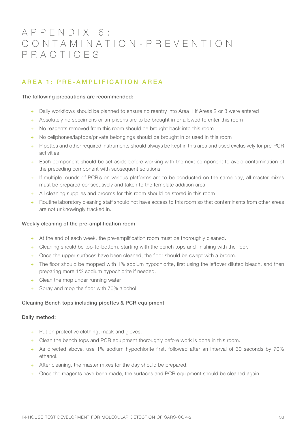## <span id="page-32-0"></span>APPENDIX 6: C O N T A M I N A T I O N - P R E V E N T I O N PRACTICES

## AREA 1: PRE-AMPLIFICATION AREA

#### The following precautions are recommended:

- Daily workflows should be planned to ensure no reentry into Area 1 if Areas 2 or 3 were entered
- + Absolutely no specimens or amplicons are to be brought in or allowed to enter this room
- + No reagents removed from this room should be brought back into this room
- + No cellphones/laptops/private belongings should be brought in or used in this room
- + Pipettes and other required instruments should always be kept in this area and used exclusively for pre-PCR activities
- Each component should be set aside before working with the next component to avoid contamination of the preceding component with subsequent solutions
- + If multiple rounds of PCR's on various platforms are to be conducted on the same day, all master mixes must be prepared consecutively and taken to the template addition area.
- + All cleaning supplies and brooms for this room should be stored in this room
- + Routine laboratory cleaning staff should not have access to this room so that contaminants from other areas are not unknowingly tracked in.

#### Weekly cleaning of the pre-amplification room

- + At the end of each week, the pre-amplification room must be thoroughly cleaned.
- + Cleaning should be top-to-bottom, starting with the bench tops and finishing with the floor.
- + Once the upper surfaces have been cleaned, the floor should be swept with a broom.
- + The floor should be mopped with 1% sodium hypochlorite, first using the leftover diluted bleach, and then preparing more 1% sodium hypochlorite if needed.
- + Clean the mop under running water
- + Spray and mop the floor with 70% alcohol.

#### Cleaning Bench tops including pipettes & PCR equipment

#### Daily method:

- + Put on protective clothing, mask and gloves.
- + Clean the bench tops and PCR equipment thoroughly before work is done in this room.
- + As directed above, use 1% sodium hypochlorite first, followed after an interval of 30 seconds by 70% ethanol.
- + After cleaning, the master mixes for the day should be prepared.
- + Once the reagents have been made, the surfaces and PCR equipment should be cleaned again.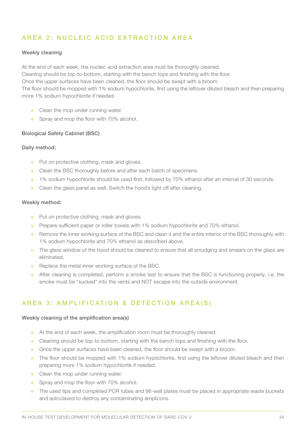## A R E A 2 : N U C LEIC A C I D EXTRACTION AREA

#### Weekly cleaning

At the end of each week, the nucleic acid extraction area must be thoroughly cleaned. Cleaning should be top-to-bottom, starting with the bench tops and finishing with the floor. Once the upper surfaces have been cleaned, the floor should be swept with a broom. The floor should be mopped with 1% sodium hypochlorite, first using the leftover diluted bleach and then preparing more 1% sodium hypochlorite if needed.

- + Clean the mop under running water.
- + Spray and mop the floor with 70% alcohol.

#### Biological Safety Cabinet (BSC)

#### Daily method:

- + Put on protective clothing, mask and gloves.
- + Clean the BSC thoroughly before and after each batch of specimens.
- + 1% sodium hypochlorite should be used first, followed by 70% ethanol after an interval of 30 seconds.
- + Clean the glass panel as well. Switch the hood's light off after cleaning.

#### Weekly method:

- + Put on protective clothing, mask and gloves.
- + Prepare sufficient paper or roller towels with 1% sodium hypochlorite and 70% ethanol.
- + Remove the inner working surface of the BSC and clean it and the entire interior of the BSC thoroughly with 1% sodium hypochlorite and 70% ethanol as described above.
- + The glass window of the hood should be cleaned to ensure that all smudging and smears on the glass are eliminated.
- + Replace the metal inner working surface of the BSC.
- + After cleaning is completed, perform a smoke test to ensure that the BSC is functioning properly, i.e. the smoke must be "sucked" into the vents and NOT escape into the outside environment.

## AREA 3: AMPLIFICATION & DETECTION AREA(S)

#### Weekly cleaning of the amplification area(s)

- + At the end of each week, the amplification room must be thoroughly cleaned.
- + Cleaning should be top-to-bottom, starting with the bench tops and finishing with the floor.
- + Once the upper surfaces have been cleaned, the floor should be swept with a broom.
- + The floor should be mopped with 1% sodium hypochlorite, first using the leftover diluted bleach and then preparing more 1% sodium hypochlorite if needed.
- + Clean the mop under running water.
- + Spray and mop the floor with 70% alcohol.
- + The used tips and completed PCR tubes and 96-well plates must be placed in appropriate waste buckets and autoclaved to destroy any contaminating amplicons.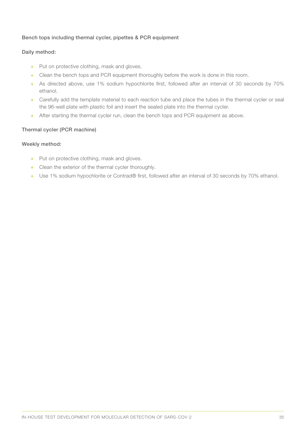#### Bench tops including thermal cycler, pipettes & PCR equipment

#### Daily method:

- + Put on protective clothing, mask and gloves.
- + Clean the bench tops and PCR equipment thoroughly before the work is done in this room.
- + As directed above, use 1% sodium hypochlorite first, followed after an interval of 30 seconds by 70% ethanol.
- + Carefully add the template material to each reaction tube and place the tubes in the thermal cycler or seal the 96-well plate with plastic foil and insert the sealed plate into the thermal cycler.
- + After starting the thermal cycler run, clean the bench tops and PCR equipment as above.

#### Thermal cycler (PCR machine)

#### Weekly method:

- + Put on protective clothing, mask and gloves.
- + Clean the exterior of the thermal cycler thoroughly.
- + Use 1% sodium hypochlorite or Contrad® first, followed after an interval of 30 seconds by 70% ethanol.